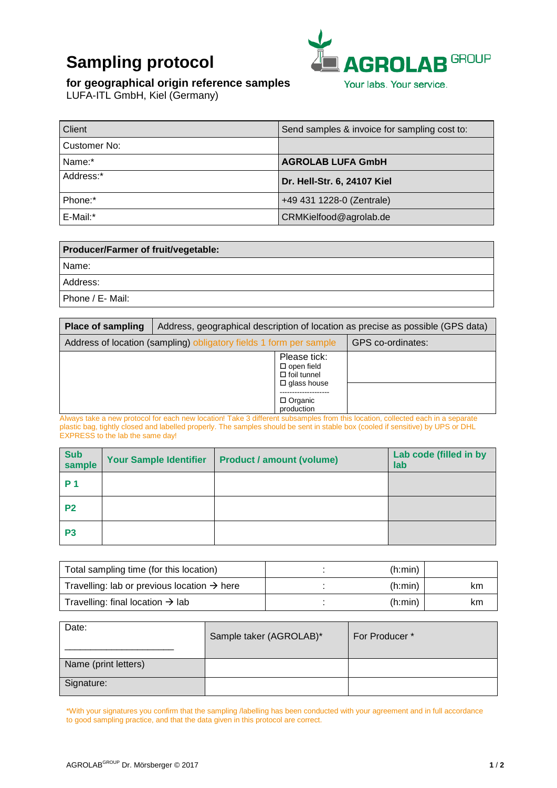# **Sampling protocol**



#### **for geographical origin reference samples**

LUFA-ITL GmbH, Kiel (Germany)

| Client       | Send samples & invoice for sampling cost to: |
|--------------|----------------------------------------------|
| Customer No: |                                              |
| Name:*       | <b>AGROLAB LUFA GmbH</b>                     |
| Address:*    | Dr. Hell-Str. 6, 24107 Kiel                  |
| Phone:*      | +49 431 1228-0 (Zentrale)                    |
| E-Mail:*     | CRMKielfood@agrolab.de                       |

| <b>Producer/Farmer of fruit/vegetable:</b> |
|--------------------------------------------|
| l Name:                                    |
| l Address:                                 |
| Phone / E- Mail:                           |

| <b>Place of sampling</b> | Address, geographical description of location as precise as possible (GPS data) |                              |                   |
|--------------------------|---------------------------------------------------------------------------------|------------------------------|-------------------|
|                          | Address of location (sampling) obligatory fields 1 form per sample              |                              | GPS co-ordinates: |
|                          | Please tick:<br>$\square$ open field<br>$\Box$ foil tunnel                      | $\Box$ glass house           |                   |
|                          |                                                                                 | $\Box$ Organic<br>production |                   |

Always take a new protocol for each new location! Take 3 different subsamples from this location, collected each in a separate plastic bag, tightly closed and labelled properly. The samples should be sent in stable box (cooled if sensitive) by UPS or DHL EXPRESS to the lab the same day!

| Sub<br>sample  | <b>Your Sample Identifier</b> | <b>Product / amount (volume)</b> | Lab code (filled in by<br>lab |
|----------------|-------------------------------|----------------------------------|-------------------------------|
| <b>P</b> 1     |                               |                                  |                               |
| P <sub>2</sub> |                               |                                  |                               |
| P <sub>3</sub> |                               |                                  |                               |

| Total sampling time (for this location)                 | (h:min) |    |
|---------------------------------------------------------|---------|----|
| Travelling: lab or previous location $\rightarrow$ here | (h:min) | km |
| Travelling: final location $\rightarrow$ lab            | (h:min) | km |

| Date:                | Sample taker (AGROLAB)* | For Producer* |
|----------------------|-------------------------|---------------|
| Name (print letters) |                         |               |
| Signature:           |                         |               |

\*With your signatures you confirm that the sampling /labelling has been conducted with your agreement and in full accordance to good sampling practice, and that the data given in this protocol are correct.